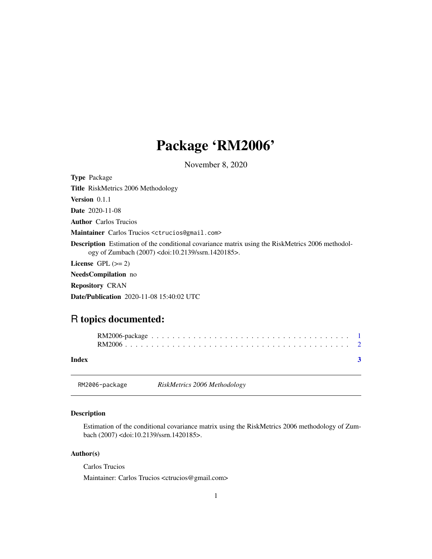## <span id="page-0-0"></span>Package 'RM2006'

November 8, 2020

Type Package Title RiskMetrics 2006 Methodology Version 0.1.1 Date 2020-11-08 Author Carlos Trucios Maintainer Carlos Trucios <ctrucios@gmail.com> Description Estimation of the conditional covariance matrix using the RiskMetrics 2006 methodology of Zumbach (2007) <doi:10.2139/ssrn.1420185>. License GPL  $(>= 2)$ NeedsCompilation no Repository CRAN Date/Publication 2020-11-08 15:40:02 UTC

### R topics documented:

| Index |  |  |  |  |  |  |  |  |  |  |  |  |  |  |  |  |  |
|-------|--|--|--|--|--|--|--|--|--|--|--|--|--|--|--|--|--|

RM2006-package *RiskMetrics 2006 Methodology*

#### Description

Estimation of the conditional covariance matrix using the RiskMetrics 2006 methodology of Zumbach (2007) <doi:10.2139/ssrn.1420185>.

#### Author(s)

Carlos Trucios

Maintainer: Carlos Trucios <ctrucios@gmail.com>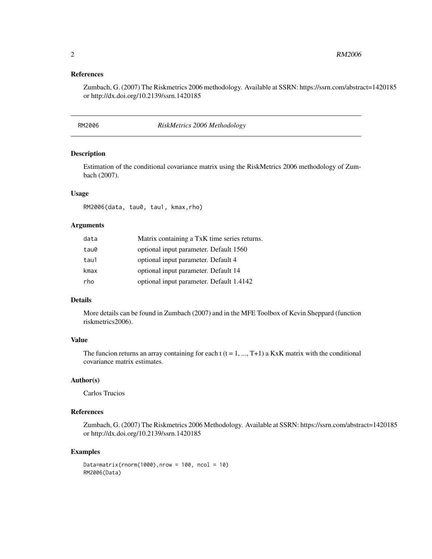#### <span id="page-1-0"></span>References

Zumbach, G. (2007) The Riskmetrics 2006 methodology. Available at SSRN: https://ssrn.com/abstract=1420185 or http://dx.doi.org/10.2139/ssrn.1420185

RM2006 *RiskMetrics 2006 Methodology*

#### Description

Estimation of the conditional covariance matrix using the RiskMetrics 2006 methodology of Zumbach (2007).

#### Usage

RM2006(data, tau0, tau1, kmax,rho)

#### Arguments

| data | Matrix containing a TxK time series returns. |
|------|----------------------------------------------|
| tau0 | optional input parameter. Default 1560       |
| tau1 | optional input parameter. Default 4          |
| kmax | optional input parameter. Default 14         |
| rho  | optional input parameter. Default 1.4142     |

#### Details

More details can be found in Zumbach (2007) and in the MFE Toolbox of Kevin Sheppard (function riskmetrics2006).

#### Value

The funcion returns an array containing for each  $t$  ( $t = 1, ..., T+1$ ) a KxK matrix with the conditional covariance matrix estimates.

#### Author(s)

Carlos Trucios

#### References

Zumbach, G. (2007) The Riskmetrics 2006 Methodology. Available at SSRN: https://ssrn.com/abstract=1420185 or http://dx.doi.org/10.2139/ssrn.1420185

#### Examples

```
Data=matrix(rnorm(1000),nrow = 100, ncol = 10)
RM2006(Data)
```